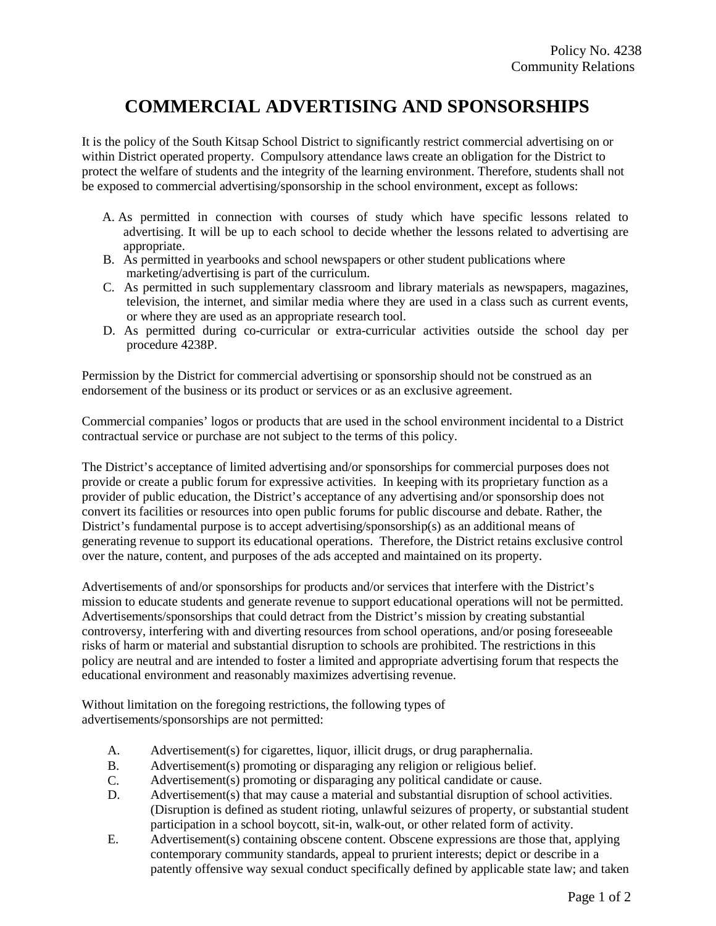## **COMMERCIAL ADVERTISING AND SPONSORSHIPS**

It is the policy of the South Kitsap School District to significantly restrict commercial advertising on or within District operated property. Compulsory attendance laws create an obligation for the District to protect the welfare of students and the integrity of the learning environment. Therefore, students shall not be exposed to commercial advertising/sponsorship in the school environment, except as follows:

- A. As permitted in connection with courses of study which have specific lessons related to advertising. It will be up to each school to decide whether the lessons related to advertising are appropriate.
- B. As permitted in yearbooks and school newspapers or other student publications where marketing/advertising is part of the curriculum.
- C. As permitted in such supplementary classroom and library materials as newspapers, magazines, television, the internet, and similar media where they are used in a class such as current events, or where they are used as an appropriate research tool.
- D. As permitted during co-curricular or extra-curricular activities outside the school day per procedure 4238P.

Permission by the District for commercial advertising or sponsorship should not be construed as an endorsement of the business or its product or services or as an exclusive agreement.

Commercial companies' logos or products that are used in the school environment incidental to a District contractual service or purchase are not subject to the terms of this policy.

The District's acceptance of limited advertising and/or sponsorships for commercial purposes does not provide or create a public forum for expressive activities. In keeping with its proprietary function as a provider of public education, the District's acceptance of any advertising and/or sponsorship does not convert its facilities or resources into open public forums for public discourse and debate. Rather, the District's fundamental purpose is to accept advertising/sponsorship(s) as an additional means of generating revenue to support its educational operations. Therefore, the District retains exclusive control over the nature, content, and purposes of the ads accepted and maintained on its property.

Advertisements of and/or sponsorships for products and/or services that interfere with the District's mission to educate students and generate revenue to support educational operations will not be permitted. Advertisements/sponsorships that could detract from the District's mission by creating substantial controversy, interfering with and diverting resources from school operations, and/or posing foreseeable risks of harm or material and substantial disruption to schools are prohibited. The restrictions in this policy are neutral and are intended to foster a limited and appropriate advertising forum that respects the educational environment and reasonably maximizes advertising revenue.

Without limitation on the foregoing restrictions, the following types of advertisements/sponsorships are not permitted:

- A. Advertisement(s) for cigarettes, liquor, illicit drugs, or drug paraphernalia.
- B. Advertisement(s) promoting or disparaging any religion or religious belief.
- C. Advertisement(s) promoting or disparaging any political candidate or cause.
- D. Advertisement(s) that may cause a material and substantial disruption of school activities. (Disruption is defined as student rioting, unlawful seizures of property, or substantial student participation in a school boycott, sit-in, walk-out, or other related form of activity.
- E. Advertisement(s) containing obscene content. Obscene expressions are those that, applying contemporary community standards, appeal to prurient interests; depict or describe in a patently offensive way sexual conduct specifically defined by applicable state law; and taken